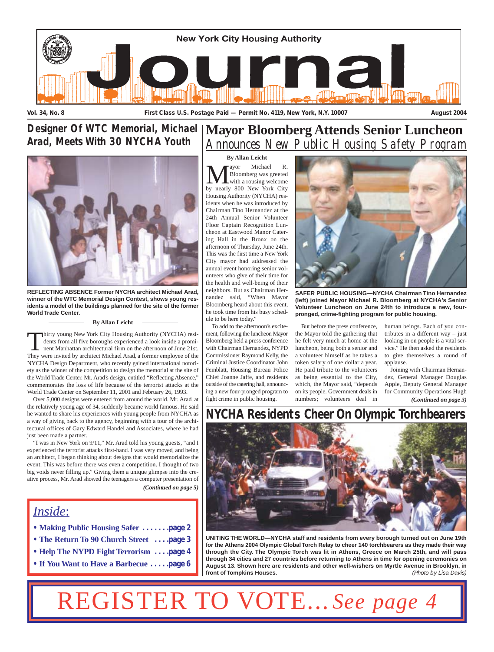

# *Arad, Meets With 30 NYCHA Youth*



**REFLECTING ABSENCE Former NYCHA architect Michael Arad, winner of the WTC Memorial Design Contest, shows young residents a model of the buildings planned for the site of the former World Trade Center.**

#### **By Allan Leicht**

Thirty young New York City Housing Authority (NYCHA) residents from all five boroughs experienced a look inside a prominent Manhattan architectural firm on the afternoon of June 21st.<br>They were invited by architect Michael dents from all five boroughs experienced a look inside a prominent Manhattan architectural firm on the afternoon of June 21st. They were invited by architect Michael Arad, a former employee of the NYCHA Design Department, who recently gained international notoriety as the winner of the competition to design the memorial at the site of the World Trade Center. Mr. Arad's design, entitled "Reflecting Absence," commemorates the loss of life because of the terrorist attacks at the World Trade Center on September 11, 2001 and February 26, 1993.

Over 5,000 designs were entered from around the world. Mr. Arad, at the relatively young age of 34, suddenly became world famous. He said he wanted to share his experiences with young people from NYCHA as a way of giving back to the agency, beginning with a tour of the architectural offices of Gary Edward Handel and Associates, where he had just been made a partner.

"I was in New York on 9/11," Mr. Arad told his young guests, "and I experienced the terrorist attacks first-hand. I was very moved, and being an architect, I began thinking about designs that would memorialize the event. This was before there was even a competition. I thought of two big voids never filling up." Giving them a unique glimpse into the creative process, Mr. Arad showed the teenagers a computer presentation of *(Continued on page 5)*

# *Inside*:

- **Making Public Housing Safer . . . . . . .page 2**
- **The Return To 90 Church Street . . . .page 3**
- **Help The NYPD Fight Terrorism . . . .page 4**
- **If You Want to Have a Barbecue . . . . .page 6**

# **Mayor Bloomberg Attends Senior Luncheon** *Designer Of WTC Memorial, Michael Announces New Public Housing Safety Program*

**Mayor** Michael R.<br>Bloomberg was greeted<br>by nearly 800 New York City Bloomberg was greeted with a rousing welcome Housing Authority (NYCHA) residents when he was introduced by Chairman Tino Hernandez at the 24th Annual Senior Volunteer Floor Captain Recognition Luncheon at Eastwood Manor Catering Hall in the Bronx on the afternoon of Thursday, June 24th. This was the first time a New York City mayor had addressed the annual event honoring senior volunteers who give of their time for the health and well-being of their neighbors. But as Chairman Hernandez said, "When Mayor Bloomberg heard about this event, he took time from his busy schedule to be here today." **By Allan Leicht**

To add to the afternoon's excitement, following the luncheon Mayor Bloomberg held a press conference with Chairman Hernandez, NYPD Commissioner Raymond Kelly, the Criminal Justice Coordinator John Feinblatt, Housing Bureau Police Chief Joanne Jaffe, and residents outside of the catering hall, announcing a new four-pronged program to fight crime in public housing.



**SAFER PUBLIC HOUSING—NYCHA Chairman Tino Hernandez (left) joined Mayor Michael R. Bloomberg at NYCHA's Senior Volunteer Luncheon on June 24th to introduce a new, fourpronged, crime-fighting program for public housing.**

But before the press conference, the Mayor told the gathering that he felt very much at home at the luncheon, being both a senior and a volunteer himself as he takes a token salary of one dollar a year. He paid tribute to the volunteers as being essential to the City, which, the Mayor said, "depends on its people. Government deals in numbers; volunteers deal in

human beings. Each of you contributes in a different way – just looking in on people is a vital service." He then asked the residents to give themselves a round of applause.

Joining with Chairman Hernandez, General Manager Douglas Apple, Deputy General Manager for Community Operations Hugh *(Continued on page 3)*

# **NYCHA Residents Cheer On Olympic Torchbearers**



**UNITING THE WORLD—NYCHA staff and residents from every borough turned out on June 19th for the Athens 2004 Olympic Global Torch Relay to cheer 140 torchbearers as they made their way through the City. The Olympic Torch was lit in Athens, Greece on March 25th, and will pass through 34 cities and 27 countries before returning to Athens in time for opening ceremonies on August 13. Shown here are residents and other well-wishers on Myrtle Avenue in Brooklyn, in front of Tompkins Houses.** *(Photo by Lisa Davis)*

# See page.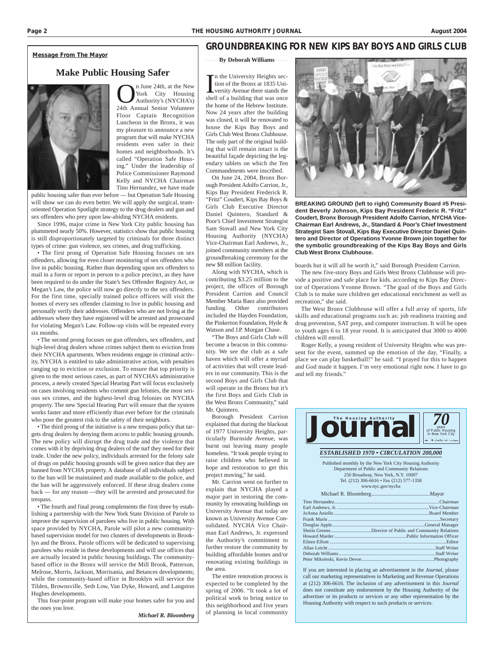#### *Message From The Mayor*

#### **Make Public Housing Safer**



**OM** Tune 24th, at the New York City Housing<br>Authority's (NYCHA's)<br>24th Annual Senior Volunteer York City Housing Authority's (NYCHA's) Floor Captain Recognition Luncheon in the Bronx, it was my pleasure to announce a new program that will make NYCHA residents even safer in their homes and neighborhoods. It's called "Operation Safe Housing." Under the leadership of Police Commissioner Raymond Kelly and NYCHA Chairman Tino Hernandez, we have made

public housing safer than ever before — but Operation Safe Housing will show we can do even better. We will apply the surgical, teamoriented Operation Spotlight strategy to the drug dealers and gun and sex offenders who prey upon law-abiding NYCHA residents.

Since 1996, major crime in New York City public housing has plummeted nearly 50%. However, statistics show that public housing is still disproportionately targeted by criminals for three distinct types of crime: gun violence, sex crimes, and drug trafficking.

• The first prong of Operation Safe Housing focuses on sex offenders, allowing for even closer monitoring of sex offenders who live in public housing. Rather than depending upon sex offenders to mail in a form or report in person to a police precinct, as they have been required to do under the State's Sex Offender Registry Act, or Megan's Law, the police will now go directly to the sex offenders. For the first time, specially trained police officers will visit the homes of every sex offender claiming to live in public housing and personally verify their addresses. Offenders who are not living at the addresses where they have registered will be arrested and prosecuted for violating Megan's Law. Follow-up visits will be repeated every six months.

• The second prong focuses on gun offenders, sex offenders, and high-level drug dealers whose crimes subject them to eviction from their NYCHA apartments. When residents engage in criminal activity, NYCHA is entitled to take administrative action, with penalties ranging up to eviction or exclusion. To ensure that top priority is given to the most serious cases, as part of NYCHA's administrative process, a newly created Special Hearing Part will focus exclusively on cases involving residents who commit gun felonies, the most serious sex crimes, and the highest-level drug felonies on NYCHA property. The new Special Hearing Part will ensure that the system works faster and more efficiently than ever before for the criminals who pose the greatest risk to the safety of their neighbors.

• The third prong of the initiative is a new trespass policy that targets drug dealers by denying them access to public housing grounds. The new policy will disrupt the drug trade and the violence that comes with it by depriving drug dealers of the turf they need for their trade. Under the new policy, individuals arrested for the felony sale of drugs on public housing grounds will be given notice that they are banned from NYCHA property. A database of all individuals subject to the ban will be maintained and made available to the police, and the ban will be aggressively enforced. If these drug dealers come back — for any reason —they will be arrested and prosecuted for trespass.

• The fourth and final prong complements the first three by establishing a partnership with the New York State Division of Parole to improve the supervision of parolees who live in public housing. With space provided by NYCHA, Parole will pilot a new communitybased supervision model for two clusters of developments in Brooklyn and the Bronx. Parole officers will be dedicated to supervising parolees who reside in these developments and will use offices that are actually located in public housing buildings. The communitybased office in the Bronx will service the Mill Brook, Patterson, Melrose, Morris, Jackson, Morrisania, and Betances developments; while the community-based office in Brooklyn will service the Tilden, Brownsville, Seth Low, Van Dyke, Howard, and Langston Hughes developments.

This four-point program will make your homes safer for you and the ones you love.

*Michael R. Bloomberg*

#### **GROUNDBREAKING FOR NEW KIPS BAY BOYS AND GIRLS CLUB**

#### **By Deborah Williams**

In the University Heights section of the Bronx at 1835 University Avenue there stands the shell of a building that was once n the University Heights section of the Bronx at 1835 University Avenue there stands the the home of the Hebrew Institute. Now 24 years after the building was closed, it will be renovated to house the Kips Bay Boys and Girls Club West Bronx Clubhouse. The only part of the original building that will remain intact is the beautiful façade depicting the legendary tablets on which the Ten Commandments were inscribed.

On June 24, 2004, Bronx Borough President Adolfo Carrion, Jr., Kips Bay President Frederick R. "Fritz" Coudert, Kips Bay Boys & Girls Club Executive Director Daniel Quintero, Standard & Poor's Chief Investment Strategist Sam Stovall and New York City Housing Authority (NYCHA) Vice-Chairman Earl Andrews, Jr., joined community members at the groundbreaking ceremony for the new \$8 million facility.

Along with NYCHA, which is contributing \$3.25 million to the project, the offices of Borough President Carrion and Council Member Maria Baez also provided funding. Other contributors included the Hayden Foundation, the Pinkerton Foundation, Hyde & Watson and J.P. Morgan Chase.

"The Boys and Girls Club will become a beacon in this community. We see the club as a safe haven which will offer a myriad of activities that will create leaders in our community. This is the second Boys and Girls Club that will operate in the Bronx but it's the first Boys and Girls Club in the West Bronx Community," said Mr. Quintero.

Borough President Carrion explained that during the blackout of 1977 University Heights, particularly Burnside Avenue, was burnt out leaving many people homeless. "It took people trying to raise children who believed in hope and restoration to get this project moving," he said.

Mr. Carrion went on further to explain that NYCHA played a major part in restoring the community by renovating buildings on University Avenue that today are known as University Avenue Consolidated. NYCHA Vice Chairman Earl Andrews, Jr. expressed the Authority's commitment to further restore the community by building affordable homes and/or renovating existing buildings in the area.

The entire renovation process is expected to be completed by the spring of 2006. "It took a lot of political work to bring notice to this neighborhood and five years of planning in local community



**BREAKING GROUND (left to right) Community Board #5 President Beverly Johnson, Kips Bay President Frederic R. "Fritz" Coudert, Bronx Borough President Adolfo Carrion, NYCHA Vice-Chairman Earl Andrews, Jr., Standard & Poor's Chief Investment Strategist Sam Stovall, Kips Bay Executive Director Daniel Quintero and Director of Operations Yvonne Brown join together for the symbolic groundbreaking of the Kips Bay Boys and Girls Club West Bronx Clubhouse.**

boards but it will all be worth it," said Borough President Carrion.

The new five-story Boys and Girls West Bronx Clubhouse will provide a positive and safe place for kids. according to Kips Bay Director of Operations Yvonne Brown. "The goal of the Boys and Girls Club is to make sure children get educational enrichment as well as recreation," she said.

The West Bronx Clubhouse will offer a full array of sports, life skills and educational programs such as: job readiness training and drug prevention, SAT prep, and computer instruction. It will be open to youth ages 6 to 18 year round. It is anticipated that 3000 to 4000 children will enroll.

Roger Kelly, a young resident of University Heights who was present for the event, summed up the emotion of the day, "Finally, a place we can play basketball!" he said. "I prayed for this to happen and God made it happen. I'm very emotional right now. I have to go and tell my friends."



*ESTABLISHED 1970 • CIRCULATION 200,000*

Published monthly by the New York City Housing Authority Department of Public and Community Relations 250 Broadway, New York, N.Y. 10007 Tel. (212) 306-6616 • Fax (212) 577-1358 www.nyc.gov/nycha

Michael R. Bloomberg...........................................Mayor

If you are interested in placing an advertisement in the *Journal*, please call our marketing representatives in Marketing and Revenue Operations at (212) 306-6616. The inclusion of any advertisement in this *Journal* does not constitute any endorsement by the Housing Authority of the advertiser or its products or services or any other representation by the Housing Authority with respect to such products or services.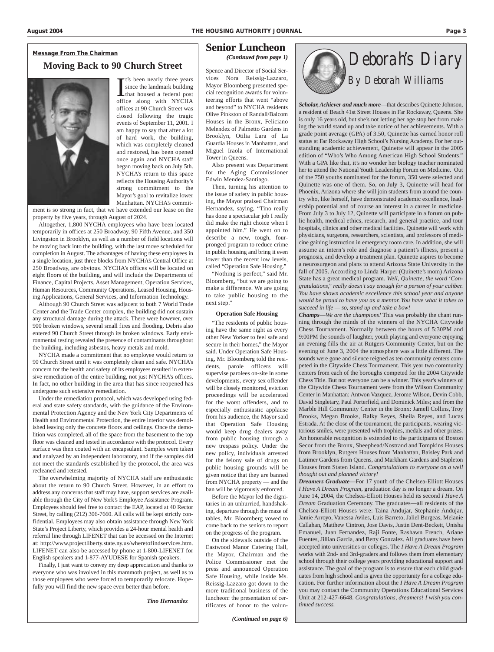#### **Moving Back to 90 Church Street**

It's been nearly three years<br>since the landmark building<br>that housed a federal post<br>office along with NYCHA t's been nearly three years since the landmark building that housed a federal post offices at 90 Church Street was closed following the tragic events of September 11, 2001. I am happy to say that after a lot of hard work, the building, which was completely cleaned and restored, has been opened once again and NYCHA staff began moving back on July 5th. NYCHA's return to this space reflects the Housing Authority's strong commitment to the Mayor's goal to revitalize lower Manhattan. NYCHA's commit-

ment is so strong in fact, that we have extended our lease on the property by five years, through August of 2024.

Altogether, 1,800 NYCHA employees who have been located temporarily in offices at 250 Broadway, 90 Fifth Avenue, and 350 Livingston in Brooklyn, as well as a number of field locations will be moving back into the building, with the last move scheduled for completion in August. The advantages of having these employees in a single location, just three blocks from NYCHA's Central Office at 250 Broadway, are obvious. NYCHA's offices will be located on eight floors of the building, and will include the Departments of Finance, Capital Projects, Asset Management, Operation Services, Human Resources, Community Operations, Leased Housing, Housing Applications, General Services, and Information Technology.

Although 90 Church Street was adjacent to both 7 World Trade Center and the Trade Center complex, the building did not sustain any structural damage during the attack. There were however, over 900 broken windows, several small fires and flooding. Debris also entered 90 Church Street through its broken windows. Early environmental testing revealed the presence of contaminants throughout the building, including asbestos, heavy metals and mold.

NYCHA made a commitment that no employee would return to 90 Church Street until it was completely clean and safe. NYCHA's concern for the health and safety of its employees resulted in extensive remediation of the entire building, not just NYCHA's offices. In fact, no other building in the area that has since reopened has undergone such extensive remediation.

Under the remediation protocol, which was developed using federal and state safety standards, with the guidance of the Environmental Protection Agency and the New York City Departments of Health and Environmental Protection, the entire interior was demolished leaving only the concrete floors and ceilings. Once the demolition was completed, all of the space from the basement to the top floor was cleaned and tested in accordance with the protocol. Every surface was then coated with an encapsulant. Samples were taken and analyzed by an independent laboratory, and if the samples did not meet the standards established by the protocol, the area was recleaned and retested.

The overwhelming majority of NYCHA staff are enthusiastic about the return to 90 Church Street. However, in an effort to address any concerns that staff may have, support services are available through the City of New York's Employee Assistance Program. Employees should feel free to contact the EAP, located at 40 Rector Street, by calling (212) 306-7660. All calls will be kept strictly confidential. Employees may also obtain assistance through New York State's Project Liberty, which provides a 24-hour mental health and referral line through LIFENET that can be accessed on the Internet at: http://www.projectliberty.state.ny.us/wheretofindservices.htm. LIFENET can also be accessed by phone at 1-800-LIFENET for English speakers and 1-877-AYUDESE for Spanish speakers.

Finally, I just want to convey my deep appreciation and thanks to everyone who was involved in this mammoth project, as well as to those employees who were forced to temporarily relocate. Hopefully you will find the new space even better than before.

*Tino Hernandez*

#### **Senior Luncheon** *(Continued from page 1)*

Spence and Director of Social Services Nora Reissig-Lazzaro, Mayor Bloomberg presented special recognition awards for volunteering efforts that went "above and beyond" to NYCHA residents Olive Pinkston of Randall/Balcom Houses in the Bronx, Feliciano Melendez of Palmetto Gardens in Brooklyn, Otilia Lara of La Guardia Houses in Manhattan, and Miguel Iraola of International Tower in Queens.

Also present was Department for the Aging Commissioner Edwin Mendez-Santiago.

Then, turning his attention to the issue of safety in public housing, the Mayor praised Chairman Hernandez, saying, "Tino really has done a spectacular job I really did make the right choice when I appointed him." He went on to describe a new, tough, fourpronged program to reduce crime in public housing and bring it even lower than the recent low levels, called "Operation Safe Housing."

"Nothing is perfect," said Mr. Bloomberg, "but we are going to make a difference. We are going to take public housing to the next step."

#### **Operation Safe Housing**

"The residents of public housing have the same right as every other New Yorker to feel safe and secure in their homes," the Mayor said. Under Operation Safe Housing, Mr. Bloomberg told the residents, parole officers will supervise parolees on-site in some developments, every sex offender will be closely monitored, eviction proceedings will be accelerated for the worst offenders, and to especially enthusiastic applause from his audience, the Mayor said that Operation Safe Housing would keep drug dealers away from public housing through a new trespass policy. Under the new policy, individuals arrested for the felony sale of drugs on public housing grounds will be given notice that they are banned from NYCHA property — and the ban will be vigorously enforced.

Before the Mayor led the dignitaries in an unhurried, handshaking, departure through the maze of tables, Mr. Bloomberg vowed to come back to the seniors to report on the progress of the program.

On the sidewalk outside of the Eastwood Manor Catering Hall, the Mayor, Chairman and the Police Commissioner met the press and announced Operation Safe Housing, while inside Ms. Reissig-Lazzaro got down to the more traditional business of the luncheon: the presentation of certificates of honor to the volun-



Scholar, Achiever and much more—that describes Quinette Johnson, a resident of Beach 41st Street Houses in Far Rockaway, Queens. She is only 16 years old, but she's not letting her age stop her from making the world stand up and take notice of her achievements. With a grade point average (GPA) of 3.50, Quinette has earned honor roll status at Far Rockaway High School's Nursing Academy. For her outstanding academic achievement, Quinette will appear in the 2005 edition of "Who's Who Among American High School Students." With a GPA like that, it's no wonder her biology teacher nominated her to attend the National Youth Leadership Forum on Medicine. Out of the 750 youths nominated for the forum, 350 were selected and Quinette was one of them. So, on July 3, Quinette will head for Phoenix, Arizona where she will join students from around the country who, like herself, have demonstrated academic excellence, leadership potential and of course an interest in a career in medicine. From July 3 to July 12, Quinette will participate in a forum on public health, medical ethics, research, and general practice, and tour hospitals, clinics and other medical facilities. Quinette will work with physicians, surgeons, researchers, scientists, and professors of medicine gaining instruction in emergency room care. In addition, she will assume an intern's role and diagnose a patient's illness, present a prognosis, and develop a treatment plan. Quinette aspires to become a neurosurgeon and plans to attend Arizona State University in the fall of 2005. According to Linda Harper (Quinette's mom) Arizona State has a great medical program. *Well, Quinette, the word 'Congratulations," really doesn't say enough for a person of your caliber. You have shown academic excellence this school year and anyone would be proud to have you as a mentor. You have what it takes to succeed in life — so, stand up and take a bow!*

*Champs*—*We are the champions!* This was probably the chant running through the minds of the winners of the NYCHA Citywide Chess Tournament. Normally between the hours of 5:30PM and 9:00PM the sounds of laughter, youth playing and everyone enjoying an evening fills the air at Rutgers Community Center, but on the evening of June 3, 2004 the atmosphere was a little different. The sounds were gone and silence reigned as ten community centers competed in the Citywide Chess Tournament. This year two community centers from each of the boroughs competed for the 2004 Citywide Chess Title. But not everyone can be a winner. This year's winners of the Citywide Chess Tournament were from the Wilson Community Center in Manhattan: Antwon Vazquez, Jerome Wilson, Devin Cobb, David Singletary, Paul Porterfield, and Dominick Miles; and from the Marble Hill Community Center in the Bronx: Jamell Collins, Troy Brooks, Megan Brooks, Ralky Reyes, Sheila Reyes, and Lucas Estrada. At the close of the tournament, the participants, wearing victorious smiles, were presented with trophies, medals and other prizes. An honorable recognition is extended to the participants of Boston Secor from the Bronx, Sheephead/Nostrand and Tompkins Houses from Brooklyn, Rutgers Houses from Manhattan, Baisley Park and Latimer Gardens from Queens, and Markham Gardens and Stapleton Houses from Staten Island. *Congratulations to everyone on a well thought out and planned victory!*

*Dreamers Graduate*—For 17 youth of the Chelsea-Elliott Houses *I Have A Dream Program*, graduation day is no longer a dream. On June 14, 2004, the Chelsea-Elliott Houses held its second *I Have A Dream* Graduation Ceremony. The graduates—all residents of the Chelsea-Elliott Houses were: Taina Andujar, Stephanie Andujar, Jamie Arroyo, Vanessa Aviles, Luis Barreto, Jaliel Burgeas, Melanie Callahan, Matthew Cintron, Jose Davis, Justin Dent-Beckett, Unisha Emanuel, Juan Fernandez, Raji Fonte, Rashawn French, Ariane Fuentes, Jillian Garcia, and Betty Gonzalez. All graduates have been accepted into universities or colleges. The *I Have A Dream Program* works with 2nd- and 3rd-graders and follows them from elementary school through their college years providing educational support and assistance. The goal of the program is to ensure that each child graduates from high school and is given the opportunity for a college education. For further information about the *I Have A Dream Program* you may contact the Community Operations Educational Services Unit at 212-427-6648. *Congratulations, dreamers! I wish you continued success.*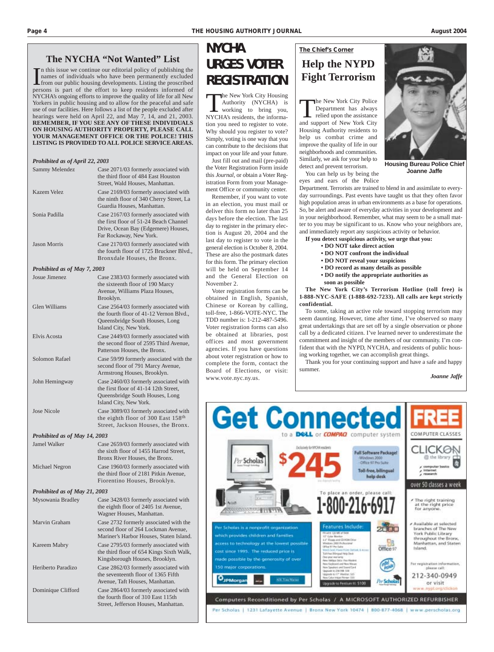#### **The NYCHA "Not Wanted" List**

In this issue we continue our editorial policy of publishing the names of individuals who have been permanently excluded from our public housing developments. Listing the proscribed persons is part of the effort to keep re n this issue we continue our editorial policy of publishing the names of individuals who have been permanently excluded from our public housing developments. Listing the proscribed NYCHA's ongoing efforts to improve the quality of life for all New Yorkers in public housing and to allow for the peaceful and safe use of our facilities. Here follows a list of the people excluded after hearings were held on April 22, and May 7, 14, and 21, 2003. **REMEMBER, IF YOU SEE ANY OF THESE INDIVIDUALS ON HOUSING AUTHORITY PROPERTY, PLEASE CALL YOUR MANAGEMENT OFFICE OR THE POLICE! THIS LISTING IS PROVIDED TO ALL POLICE SERVICE AREAS.**

| Prohibited as of April 22, 2003 |                                                                                                                                                   |
|---------------------------------|---------------------------------------------------------------------------------------------------------------------------------------------------|
| Sammy Melendez                  | Case 2071/03 formerly associated with<br>the third floor of 484 East Houston<br>Street, Wald Houses, Manhattan.                                   |
| Kazem Velez                     | Case 2169/03 formerly associated with<br>the ninth floor of 340 Cherry Street, La<br>Guardia Houses, Manhattan.                                   |
| Sonia Padilla                   | Case 2167/03 formerly associated with<br>the first floor of 51-24 Beach Channel<br>Drive, Ocean Bay (Edgemere) Houses,<br>Far Rockaway, New York. |
| <b>Jason Morris</b>             | Case 2170/03 formerly associated with<br>the fourth floor of 1725 Bruckner Blvd.,<br>Bronxdale Houses, the Bronx.                                 |
| Prohibited as of May 7, 2003    |                                                                                                                                                   |
| Josue Jimenez                   | Case 2383/03 formerly associated with<br>the sixteenth floor of 190 Marcy<br>Avenue, Williams Plaza Houses,<br>Brooklyn.                          |
| <b>Glen Williams</b>            | Case 2564/03 formerly associated with<br>the fourth floor of 41-12 Vernon Blvd.,<br>Queensbridge South Houses, Long<br>Island City, New York.     |
| Elvis Acosta                    | Case 2449/03 formerly associated with<br>the second floor of 2595 Third Avenue,<br>Patterson Houses, the Bronx.                                   |
| Solomon Rafael                  | Case 59/99 formerly associated with the<br>second floor of 791 Marcy Avenue,<br>Armstrong Houses, Brooklyn.                                       |
| John Hemingway                  | Case 2460/03 formerly associated with<br>the first floor of 41-14 12th Street,<br>Queensbridge South Houses, Long<br>Island City, New York.       |
| <b>Jose Nicole</b>              | Case 3089/03 formerly associated with<br>the eighth floor of 300 East 158 <sup>th</sup><br>Street, Jackson Houses, the Bronx.                     |
| Prohibited as of May 14, 2003   |                                                                                                                                                   |
| <b>Jamel Walker</b>             | Case 2659/03 formerly associated with<br>the sixth floor of 1455 Harrod Street,<br>Bronx River Houses, the Bronx.                                 |
| Michael Negron                  | Case 1960/03 formerly associated with<br>the third floor of 2181 Pitkin Avenue,<br>Fiorentino Houses, Brooklyn.                                   |
| Prohibited as of May 21, 2003   |                                                                                                                                                   |
| Mysowania Bradley               | Case 3428/03 formerly associated with<br>the eighth floor of 2405 1st Avenue,<br>Wagner Houses, Manhattan.                                        |
| Marvin Graham                   | Case 2732 formerly associated with the<br>second floor of 264 Lockman Avenue,<br>Mariner's Harbor Houses, Staten Island.                          |
| Kareem Mabry                    | Case 2795/03 formerly associated with<br>the third floor of 654 Kings Sixth Walk,<br>Kingsborough Houses, Brooklyn.                               |
| Heriberto Paradizo              | Case 2862/03 formerly associated with<br>the seventeenth floor of 1365 Fifth<br>Avenue, Taft Houses, Manhattan.                                   |
| Dominique Clifford              | Case 2864/03 formerly associated with<br>the fourth floor of 310 East 115th<br>Street, Jefferson Houses, Manhattan.                               |
|                                 |                                                                                                                                                   |

# **NYCHA URGES VOTER REGISTRATION**

The New York City Housing<br>Authority (NYCHA) is<br>working to bring you,<br>NYCHA's residents the informa-Authority (NYCHA) is

working to bring you, NYCHA's residents, the information you need to register to vote. Why should you register to vote? Simply, voting is one way that you can contribute to the decisions that impact on your life and your future.

Just fill out and mail (pre-paid) the Voter Registration Form inside this *Journal*, or obtain a Voter Registration Form from your Management Office or community center.

Remember, if you want to vote in an election, you must mail or deliver this form no later than 25 days before the election. The last day to register in the primary election is August 20, 2004 and the last day to register to vote in the general election is October 8, 2004. These are also the postmark dates for this form. The primary election will be held on September 14 and the General Election on November 2.

Voter registration forms can be obtained in English, Spanish, Chinese or Korean by calling, toll-free, 1-866-VOTE-NYC. The TDD number is: 1-212-487-5496. Voter registration forms can also be obtained at libraries, post offices and most government agencies. If you have questions about voter registration or how to complete the form, contact the Board of Elections, or visit: www.vote.nyc.ny.us.

## *The Chief's Corner* **Help the NYPD Fight Terrorism**

The New York City Police Department has always relied upon the assistance and support of New York City Housing Authority residents to help us combat crime and improve the quality of life in our neighborhoods and communities. Similarly, we ask for your help to detect and prevent terrorism.

You can help us by being the eyes and ears of the Police

Department. Terrorists are trained to blend in and assimilate to everyday surroundings. Past events have taught us that they often favor high population areas in urban environments as a base for operations. So, be alert and aware of everyday activities in your development and in your neighborhood. Remember, what may seem to be a small matter to you may be significant to us. Know who your neighbors are, and immediately report any suspicious activity or behavior.

**If you detect suspicious activity, we urge that you:**

- **DO NOT take direct action**
- **DO NOT confront the individual**
- **DO NOT reveal your suspicions**
- **DO record as many details as possible**
- **DO notify the appropriate authorities as soon as possible**
- **The New York City's Terrorism Hotline (toll free) is 1-888-NYC-SAFE (1-888-692-7233). All calls are kept strictly confidential.**

To some, taking an active role toward stopping terrorism may seem daunting. However, time after time, I've observed so many great undertakings that are set off by a single observation or phone call by a dedicated citizen. I've learned never to underestimate the commitment and insight of the members of our community. I'm confident that with the NYPD, NYCHA, and residents of public housing working together, we can accomplish great things.

Thank you for your continuing support and have a safe and happy summer.

*Joanne Jaffe*



**Housing Bureau Police Chief Joanne Jaffe**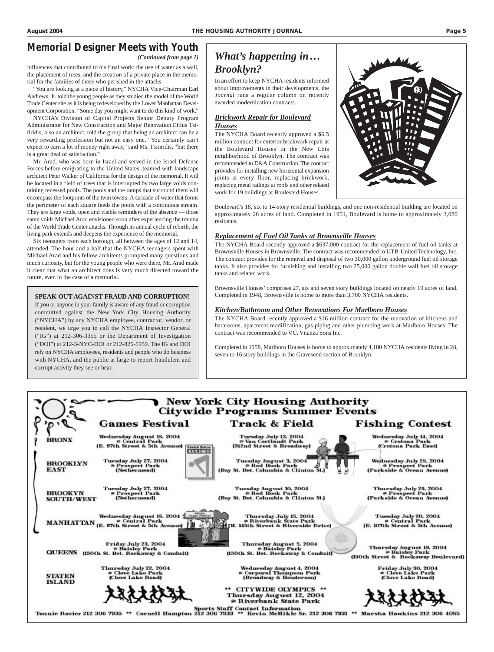# *Memorial Designer Meets with Youth*

influences that contributed to his final work: the use of water as a wall, the placement of trees, and the creation of a private place in the memorial for the families of those who perished in the attacks.

*(Continued from page 1)*

"You are looking at a piece of history," NYCHA Vice-Chairman Earl Andrews, Jr. told the young people as they studied the model of the World Trade Center site as it is being redeveloped by the Lower Manhattan Development Corporation. "Some day you might want to do this kind of work."

NYCHA's Division of Capital Projects Senior Deputy Program Administrator for New Construction and Major Renovation Efthia Tsitiridis, also an architect, told the group that being an architect can be a very rewarding profession but not an easy one. "You certainly can't expect to earn a lot of money right away," said Ms. Tsitiridis, "but there is a great deal of satisfaction."

Mr. Arad, who was born in Israel and served in the Israel Defense Forces before emigrating to the United States, teamed with landscape architect Peter Walker of California for the design of the memorial. It will be located in a field of trees that is interrupted by two large voids containing recessed pools. The pools and the ramps that surround them will encompass the footprints of the twin towers. A cascade of water that forms the perimeter of each square feeds the pools with a continuous stream. They are large voids, open and visible reminders of the absence — those same voids Michael Arad envisioned soon after experiencing the trauma of the World Trade Center attacks. Through its annual cycle of rebirth, the living park extends and deepens the experience of the memorial.

Six teenagers from each borough, all between the ages of 12 and 14, attended. The hour and a half that the NYCHA teenagers spent with Michael Arad and his fellow architects prompted many questions and much curiosity, but for the young people who were there, Mr. Arad made it clear that what an architect does is very much directed toward the future, even in the case of a memorial.

#### **SPEAK OUT AGAINST FRAUD AND CORRUPTION!**

If you or anyone in your family is aware of any fraud or corruption committed against the New York City Housing Authority ("NYCHA") by any NYCHA employee, contractor, vendor, or resident, we urge you to call the NYCHA Inspector General ("IG") at 212-306-3355 or the Department of Investigation ("DOI") at 212-3-NYC-DOI or 212-825-5959. The IG and DOI rely on NYCHA employees, residents and people who do business with NYCHA, and the public at large to report fraudulent and corrupt activity they see or hear.

# *What's happening in… Brooklyn?*

In an effort to keep NYCHA residents informed about improvements in their developments, the *Journal* runs a regular column on recently awarded modernization contracts.

#### *Brickwork Repair for Boulevard Houses*

The NYCHA Board recently approved a \$6.5 million contract for exterior brickwork repair at the Boulevard Houses in the New Lots neighborhood of Brooklyn. The contract was recommended to D&A Construction. The contract provides for installing new horizontal expansion joints at every floor, replacing brickwork, replacing metal railings at roofs and other related work for 19 buildings at Boulevard Houses.

Boulevard's 18, six to 14-story residential buildings, and one non-residential building are located on approximately 26 acres of land. Completed in 1951, Boulevard is home to approximately 3,080 residents.

#### *Replacement of Fuel Oil Tanks at Brownsville Houses*

The NYCHA Board recently approved a \$637,000 contract for the replacement of fuel oil tanks at Brownsville Houses in Brownsville. The contract was recommended to UTB-United Technology, Inc. The contract provides for the removal and disposal of two 30,000 gallon underground fuel oil storage tanks. It also provides for furnishing and installing two 25,000 gallon double wall fuel oil storage tanks and related work.

Brownsville Houses' comprises 27, six and seven story buildings located on nearly 19 acres of land. Completed in 1948, Brownsville is home to more than 3,700 NYCHA residents.

#### *Kitchen/Bathroom and Other Renovations For Marlboro Houses*

The NYCHA Board recently approved a \$16 million contract for the renovation of kitchens and bathrooms, apartment modification, gas piping and other plumbing work at Marlboro Houses. The contract was recommended to V.C. Vitanza Sons Inc.

Completed in 1958, Marlboro Houses is home to approximately 4,100 NYCHA residents living in 28, seven to 16 story buildings in the Gravesend section of Brooklyn.

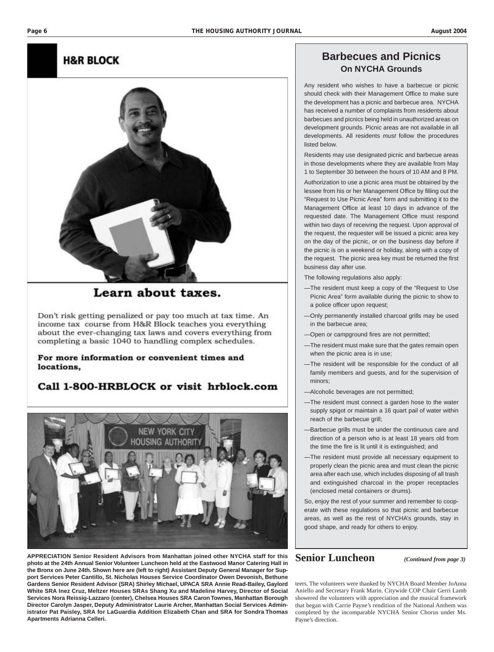#### **H&R BLOCK**



## Learn about taxes.

Don't risk getting penalized or pay too much at tax time. An income tax course from H&R Block teaches you everything about the ever-changing tax laws and covers everything from completing a basic 1040 to handling complex schedules.

For more information or convenient times and locations,

## Call 1-800-HRBLOCK or visit hrblock.com



**APPRECIATION Senior Resident Advisors from Manhattan joined other NYCHA staff for this photo at the 24th Annual Senior Volunteer Luncheon held at the Eastwood Manor Catering Hall in the Bronx on June 24th. Shown here are (left to right) Assistant Deputy General Manager for Support Services Peter Cantillo, St. Nicholas Houses Service Coordinator Owen Devonish, Bethune Gardens Senior Resident Advisor (SRA) Shirley Michael, UPACA SRA Annie Read-Bailey, Gaylord White SRA Inez Cruz, Meltzer Houses SRAs Shang Xu and Madeline Harvey, Director of Social Services Nora Reissig-Lazzaro (center), Chelsea Houses SRA Caron Townes, Manhattan Borough Director Carolyn Jasper, Deputy Administrator Laurie Archer, Manhattan Social Services Administrator Pat Paisley, SRA for LaGuardia Addition Elizabeth Chan and SRA for Sondra Thomas Apartments Adrianna Celleri.**

## **Barbecues and Picnics On NYCHA Grounds**

Any resident who wishes to have a barbecue or picnic should check with their Management Office to make sure the development has a picnic and barbecue area. NYCHA has received a number of complaints from residents about barbecues and picnics being held in unauthorized areas on development grounds. Picnic areas are not available in all developments. All residents *must* follow the procedures listed below.

Residents may use designated picnic and barbecue areas in those developments where they are available from May 1 to September 30 between the hours of 10 AM and 8 PM.

Authorization to use a picnic area must be obtained by the lessee from his or her Management Office by filling out the "Request to Use Picnic Area" form and submitting it to the Management Office at least 10 days in advance of the requested date. The Management Office must respond within two days of receiving the request. Upon approval of the request, the requester will be issued a picnic area key on the day of the picnic, or on the business day before if the picnic is on a weekend or holiday, along with a copy of the request. The picnic area key must be returned the first business day after use.

The following regulations also apply:

- —The resident must keep a copy of the "Request to Use Picnic Area" form available during the picnic to show to a police officer upon request;
- —Only permanently installed charcoal grills may be used in the barbecue area;
- —Open or campground fires are not permitted;
- —The resident must make sure that the gates remain open when the picnic area is in use;
- —The resident will be responsible for the conduct of all family members and guests, and for the supervision of minors;
- —Alcoholic beverages are not permitted;
- —The resident must connect a garden hose to the water supply spigot or maintain a 16 quart pail of water within reach of the barbecue grill;
- —Barbecue grills must be under the continuous care and direction of a person who is at least 18 years old from the time the fire is lit until it is extinguished; and
- —The resident must provide all necessary equipment to properly clean the picnic area and must clean the picnic area after each use, which includes disposing of all trash and extinguished charcoal in the proper receptacles (enclosed metal containers or drums).

So, enjoy the rest of your summer and remember to cooperate with these regulations so that picnic and barbecue areas, as well as the rest of NYCHA's grounds, stay in good shape, and ready for others to enjoy.

## **Senior Luncheon** *(Continued from page 3)*

teers. The volunteers were thanked by NYCHA Board Member JoAnna Aniello and Secretary Frank Marín. Citywide COP Chair Gerri Lamb showered the volunteers with appreciation and the musical framework that began with Carrie Payne's rendition of the National Anthem was completed by the incomparable NYCHA Senior Chorus under Ms. Payne's direction.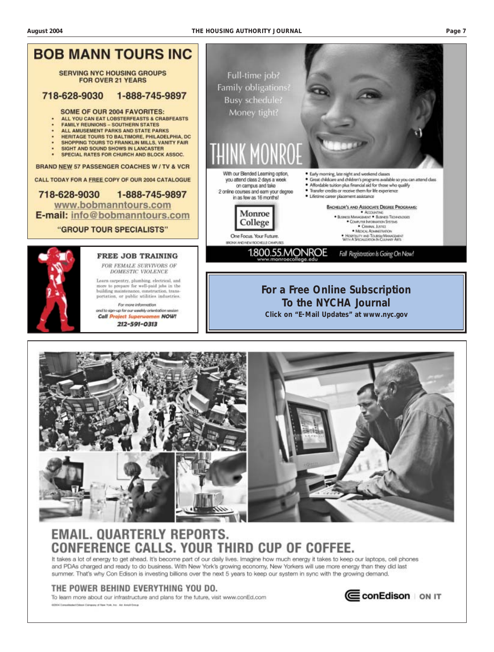



# **EMAIL. QUARTERLY REPORTS.** ERENCE CALLS. YOUR THIRD CUP OF COFFEE

It takes a lot of energy to get ahead. It's become part of our daily lives. Imagine how much energy it takes to keep our laptops, cell phones and PDAs charged and ready to do business. With New York's growing economy, New Yorkers will use more energy than they did last summer. That's why Con Edison is investing billions over the next 5 years to keep our system in sync with the growing demand.

#### THE POWER BEHIND EVERYTHING YOU DO.

To learn more about our infrastructure and plans for the future, visit www.conEd.com 62004 Comprisioned Editors Company of New York, Inc., Ad: Amult Group

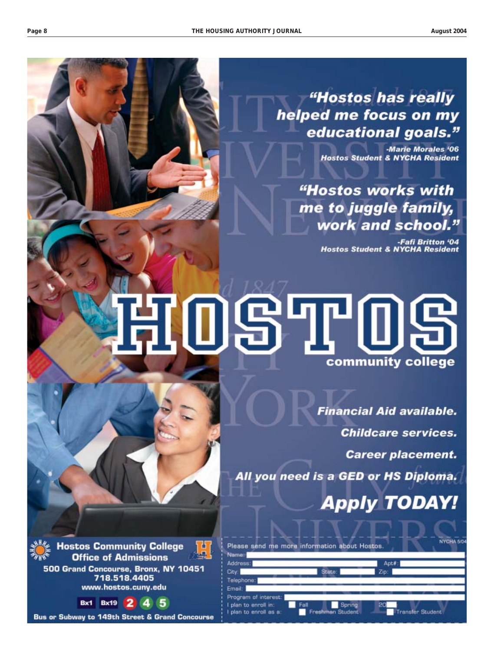"Hostos has really helped me focus on my educational goals."

> **Marie Morales '06 Hostos Student & NYCHA Resident**

"Hostos works with me to juggle family, work and school."

> -Fafi Britton '04 **Hostos Student & NYCHA Resident**

# **7097109** community college

**Financial Aid available. Childcare services.** 

**Career placement.** 

All you need is a GED or HS Diploma.

**Apply TODAY!** 



**Hostos Community College** O **Office of Admissions** 500 Grand Concourse, Bronx, NY 10451 718.518.4405 www.hostos.cuny.edu

> 2 **Bx19** 5  $Bx1$ 4

Bus or Subway to 149th Street & Grand Concourse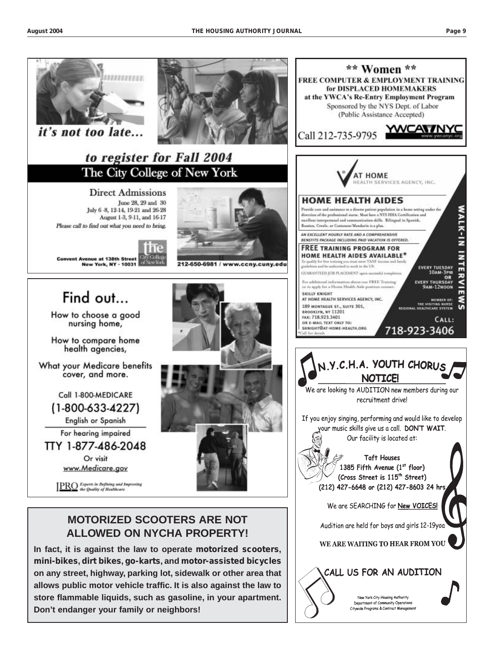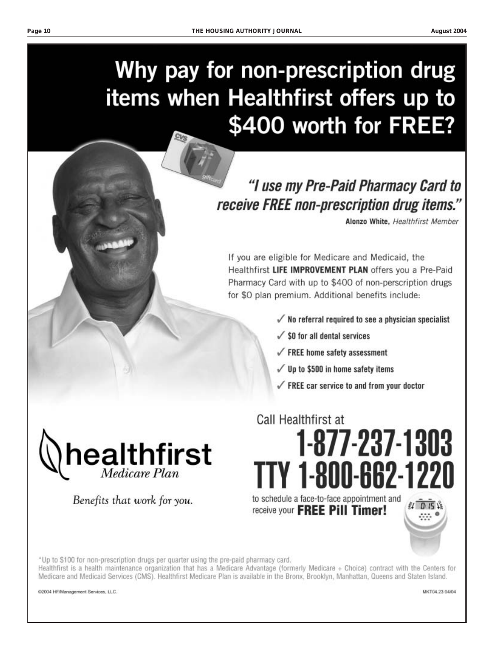August 2004

# Why pay for non-prescription drug items when Healthfirst offers up to \$400 worth for FREE?

# "I use my Pre-Paid Pharmacy Card to receive FREE non-prescription drug items."

Alonzo White, Healthfirst Member

If you are eligible for Medicare and Medicaid, the Healthfirst LIFE IMPROVEMENT PLAN offers you a Pre-Paid Pharmacy Card with up to \$400 of non-perscription drugs for \$0 plan premium. Additional benefits include:

- $\sqrt{\ }$  No referral required to see a physician specialist
- $\sqrt{\ }$  \$0 for all dental services

Call Healthfirst at

- $\sqrt{\ }$  FREE home safety assessment
- $\sqrt{ }$  Up to \$500 in home safety items
- $\sqrt{ }$  FREE car service to and from your doctor

1-877-237-1303



Benefits that work for you.

TY 1-800-662-1220 to schedule a face-to-face appointment and receive your **FREE Pill Timer!** 



\*Up to \$100 for non-prescription drugs per quarter using the pre-paid pharmacy card.

Healthfirst is a health maintenance organization that has a Medicare Advantage (formerly Medicare + Choice) contract with the Centers for Medicare and Medicaid Services (CMS). Healthfirst Medicare Plan is available in the Bronx, Brooklyn, Manhattan, Queens and Staten Island.

@2004 HF/Management Services, LLC.

MKT04.23 04/04